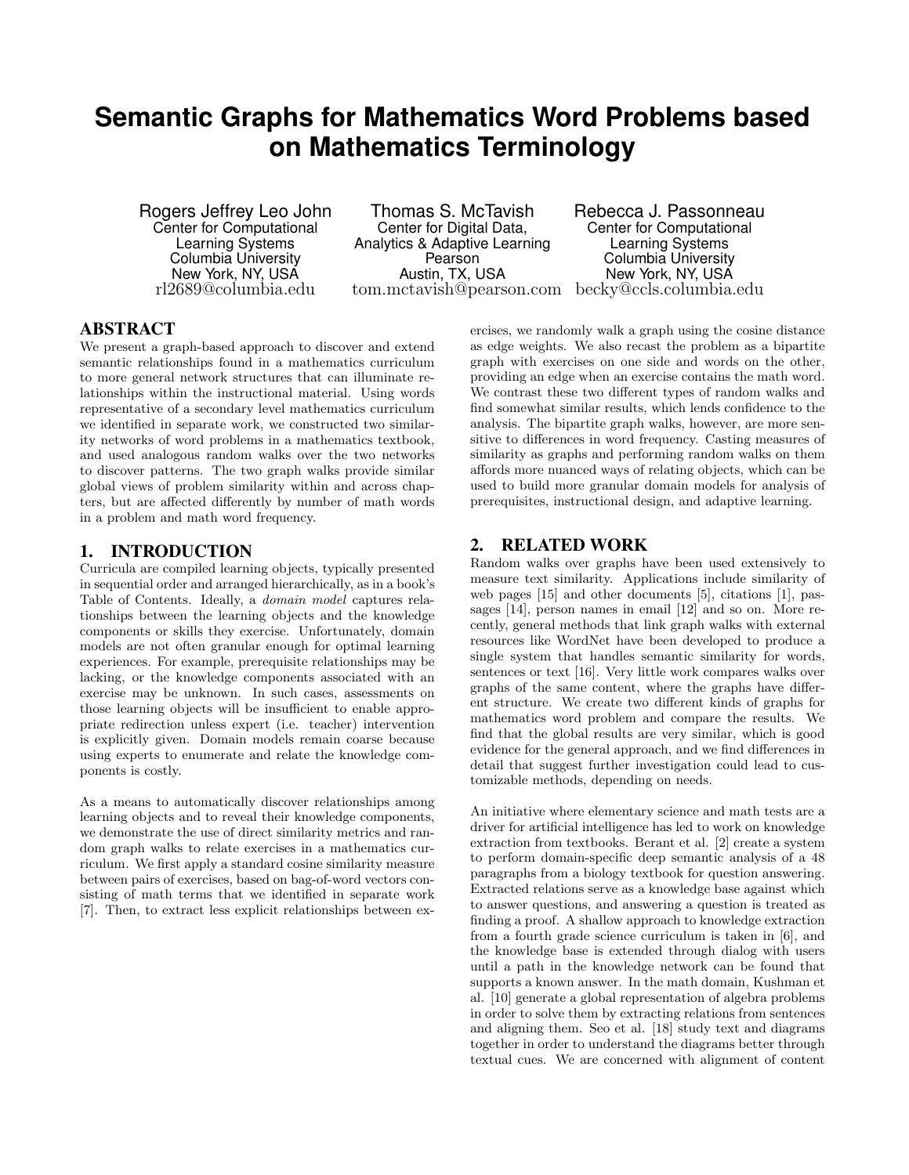# **Semantic Graphs for Mathematics Word Problems based on Mathematics Terminology**

Rogers Jeffrey Leo John Center for Computational Learning Systems Columbia University New York, NY, USA rl2689@columbia.edu

Thomas S. McTavish Center for Digital Data, Analytics & Adaptive Learning Pearson Austin, TX, USA tom.mctavish@pearson.com becky@ccls.columbia.edu

Rebecca J. Passonneau Center for Computational Learning Systems Columbia University New York, NY, USA

# ABSTRACT

We present a graph-based approach to discover and extend semantic relationships found in a mathematics curriculum to more general network structures that can illuminate relationships within the instructional material. Using words representative of a secondary level mathematics curriculum we identified in separate work, we constructed two similarity networks of word problems in a mathematics textbook, and used analogous random walks over the two networks to discover patterns. The two graph walks provide similar global views of problem similarity within and across chapters, but are affected differently by number of math words in a problem and math word frequency.

# 1. INTRODUCTION

Curricula are compiled learning objects, typically presented in sequential order and arranged hierarchically, as in a book's Table of Contents. Ideally, a domain model captures relationships between the learning objects and the knowledge components or skills they exercise. Unfortunately, domain models are not often granular enough for optimal learning experiences. For example, prerequisite relationships may be lacking, or the knowledge components associated with an exercise may be unknown. In such cases, assessments on those learning objects will be insufficient to enable appropriate redirection unless expert (i.e. teacher) intervention is explicitly given. Domain models remain coarse because using experts to enumerate and relate the knowledge components is costly.

As a means to automatically discover relationships among learning objects and to reveal their knowledge components, we demonstrate the use of direct similarity metrics and random graph walks to relate exercises in a mathematics curriculum. We first apply a standard cosine similarity measure between pairs of exercises, based on bag-of-word vectors consisting of math terms that we identified in separate work [7]. Then, to extract less explicit relationships between exercises, we randomly walk a graph using the cosine distance as edge weights. We also recast the problem as a bipartite graph with exercises on one side and words on the other, providing an edge when an exercise contains the math word. We contrast these two different types of random walks and find somewhat similar results, which lends confidence to the analysis. The bipartite graph walks, however, are more sensitive to differences in word frequency. Casting measures of similarity as graphs and performing random walks on them affords more nuanced ways of relating objects, which can be used to build more granular domain models for analysis of prerequisites, instructional design, and adaptive learning.

# 2. RELATED WORK

Random walks over graphs have been used extensively to measure text similarity. Applications include similarity of web pages [15] and other documents [5], citations [1], passages [14], person names in email [12] and so on. More recently, general methods that link graph walks with external resources like WordNet have been developed to produce a single system that handles semantic similarity for words, sentences or text [16]. Very little work compares walks over graphs of the same content, where the graphs have different structure. We create two different kinds of graphs for mathematics word problem and compare the results. We find that the global results are very similar, which is good evidence for the general approach, and we find differences in detail that suggest further investigation could lead to customizable methods, depending on needs.

An initiative where elementary science and math tests are a driver for artificial intelligence has led to work on knowledge extraction from textbooks. Berant et al. [2] create a system to perform domain-specific deep semantic analysis of a 48 paragraphs from a biology textbook for question answering. Extracted relations serve as a knowledge base against which to answer questions, and answering a question is treated as finding a proof. A shallow approach to knowledge extraction from a fourth grade science curriculum is taken in [6], and the knowledge base is extended through dialog with users until a path in the knowledge network can be found that supports a known answer. In the math domain, Kushman et al. [10] generate a global representation of algebra problems in order to solve them by extracting relations from sentences and aligning them. Seo et al. [18] study text and diagrams together in order to understand the diagrams better through textual cues. We are concerned with alignment of content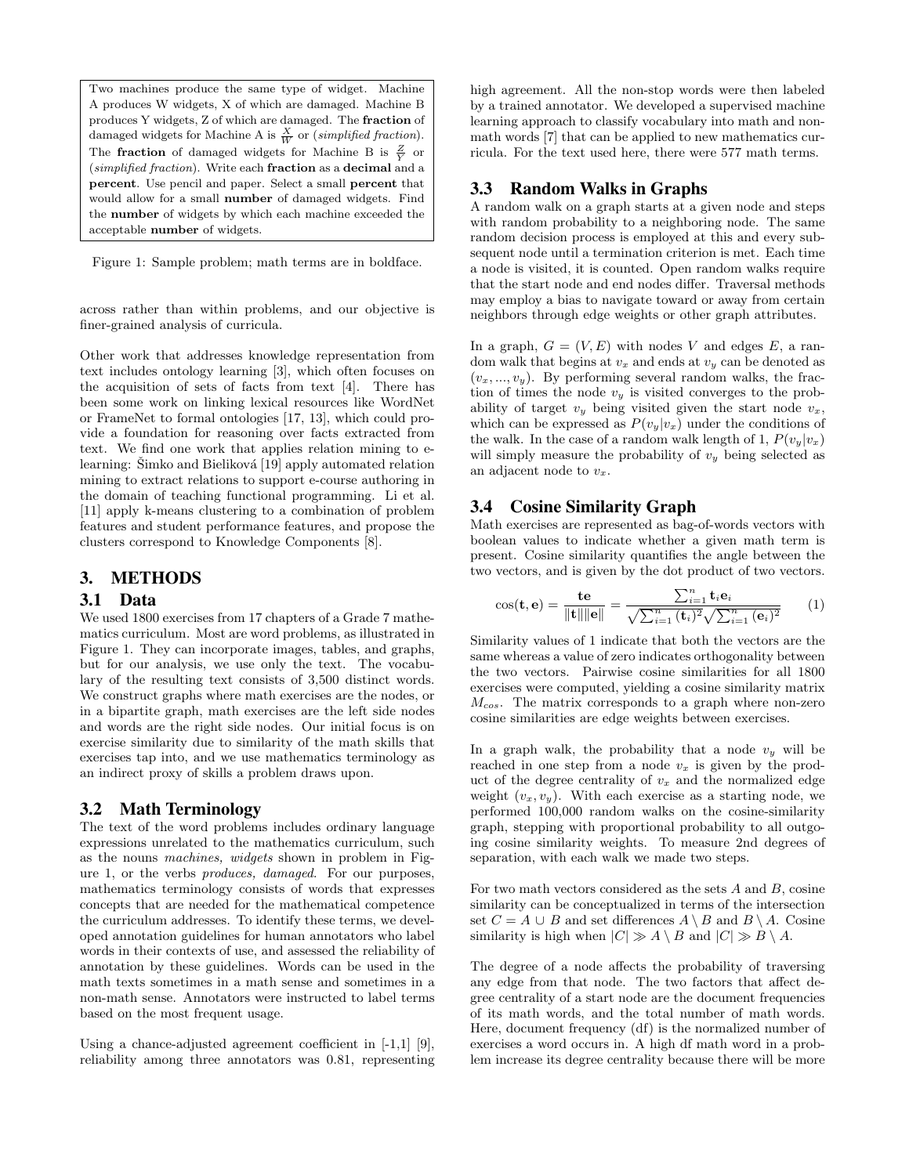Two machines produce the same type of widget. Machine A produces W widgets, X of which are damaged. Machine B produces Y widgets, Z of which are damaged. The fraction of damaged widgets for Machine A is  $\frac{X}{W}$  or (*simplified fraction*). The **fraction** of damaged widgets for Machine B is  $\frac{Z}{Y}$  or (simplified fraction). Write each fraction as a decimal and a percent. Use pencil and paper. Select a small percent that would allow for a small number of damaged widgets. Find the number of widgets by which each machine exceeded the acceptable number of widgets.

Figure 1: Sample problem; math terms are in boldface.

across rather than within problems, and our objective is finer-grained analysis of curricula.

Other work that addresses knowledge representation from text includes ontology learning [3], which often focuses on the acquisition of sets of facts from text [4]. There has been some work on linking lexical resources like WordNet or FrameNet to formal ontologies [17, 13], which could provide a foundation for reasoning over facts extracted from text. We find one work that applies relation mining to elearning: Šimko and Bieliková [19] apply automated relation mining to extract relations to support e-course authoring in the domain of teaching functional programming. Li et al. [11] apply k-means clustering to a combination of problem features and student performance features, and propose the clusters correspond to Knowledge Components [8].

# 3. METHODS

#### 3.1 Data

We used 1800 exercises from 17 chapters of a Grade 7 mathematics curriculum. Most are word problems, as illustrated in Figure 1. They can incorporate images, tables, and graphs, but for our analysis, we use only the text. The vocabulary of the resulting text consists of 3,500 distinct words. We construct graphs where math exercises are the nodes, or in a bipartite graph, math exercises are the left side nodes and words are the right side nodes. Our initial focus is on exercise similarity due to similarity of the math skills that exercises tap into, and we use mathematics terminology as an indirect proxy of skills a problem draws upon.

## 3.2 Math Terminology

The text of the word problems includes ordinary language expressions unrelated to the mathematics curriculum, such as the nouns machines, widgets shown in problem in Figure 1, or the verbs produces, damaged. For our purposes, mathematics terminology consists of words that expresses concepts that are needed for the mathematical competence the curriculum addresses. To identify these terms, we developed annotation guidelines for human annotators who label words in their contexts of use, and assessed the reliability of annotation by these guidelines. Words can be used in the math texts sometimes in a math sense and sometimes in a non-math sense. Annotators were instructed to label terms based on the most frequent usage.

Using a chance-adjusted agreement coefficient in [-1,1] [9], reliability among three annotators was 0.81, representing high agreement. All the non-stop words were then labeled by a trained annotator. We developed a supervised machine learning approach to classify vocabulary into math and nonmath words [7] that can be applied to new mathematics curricula. For the text used here, there were 577 math terms.

## 3.3 Random Walks in Graphs

A random walk on a graph starts at a given node and steps with random probability to a neighboring node. The same random decision process is employed at this and every subsequent node until a termination criterion is met. Each time a node is visited, it is counted. Open random walks require that the start node and end nodes differ. Traversal methods may employ a bias to navigate toward or away from certain neighbors through edge weights or other graph attributes.

In a graph,  $G = (V, E)$  with nodes V and edges E, a random walk that begins at  $v_x$  and ends at  $v_y$  can be denoted as  $(v_x, ..., v_y)$ . By performing several random walks, the fraction of times the node  $v_y$  is visited converges to the probability of target  $v_y$  being visited given the start node  $v_x$ , which can be expressed as  $P(v_y|v_x)$  under the conditions of the walk. In the case of a random walk length of 1,  $P(v_y|v_x)$ will simply measure the probability of  $v_y$  being selected as an adjacent node to  $v_x$ .

#### 3.4 Cosine Similarity Graph

Math exercises are represented as bag-of-words vectors with boolean values to indicate whether a given math term is present. Cosine similarity quantifies the angle between the two vectors, and is given by the dot product of two vectors.

$$
\cos(\mathbf{t}, \mathbf{e}) = \frac{\mathbf{te}}{\|\mathbf{t}\| \|\mathbf{e}\|} = \frac{\sum_{i=1}^{n} \mathbf{t}_i \mathbf{e}_i}{\sqrt{\sum_{i=1}^{n} (\mathbf{t}_i)^2} \sqrt{\sum_{i=1}^{n} (\mathbf{e}_i)^2}} \qquad (1)
$$

Similarity values of 1 indicate that both the vectors are the same whereas a value of zero indicates orthogonality between the two vectors. Pairwise cosine similarities for all 1800 exercises were computed, yielding a cosine similarity matrix  $M_{\text{cos}}$ . The matrix corresponds to a graph where non-zero cosine similarities are edge weights between exercises.

In a graph walk, the probability that a node  $v_y$  will be reached in one step from a node  $v_x$  is given by the product of the degree centrality of  $v_x$  and the normalized edge weight  $(v_x, v_y)$ . With each exercise as a starting node, we performed 100,000 random walks on the cosine-similarity graph, stepping with proportional probability to all outgoing cosine similarity weights. To measure 2nd degrees of separation, with each walk we made two steps.

For two math vectors considered as the sets  $A$  and  $B$ , cosine similarity can be conceptualized in terms of the intersection set  $C = A \cup B$  and set differences  $A \setminus B$  and  $B \setminus A$ . Cosine similarity is high when  $|C| \gg A \setminus B$  and  $|C| \gg B \setminus A$ .

The degree of a node affects the probability of traversing any edge from that node. The two factors that affect degree centrality of a start node are the document frequencies of its math words, and the total number of math words. Here, document frequency (df) is the normalized number of exercises a word occurs in. A high df math word in a problem increase its degree centrality because there will be more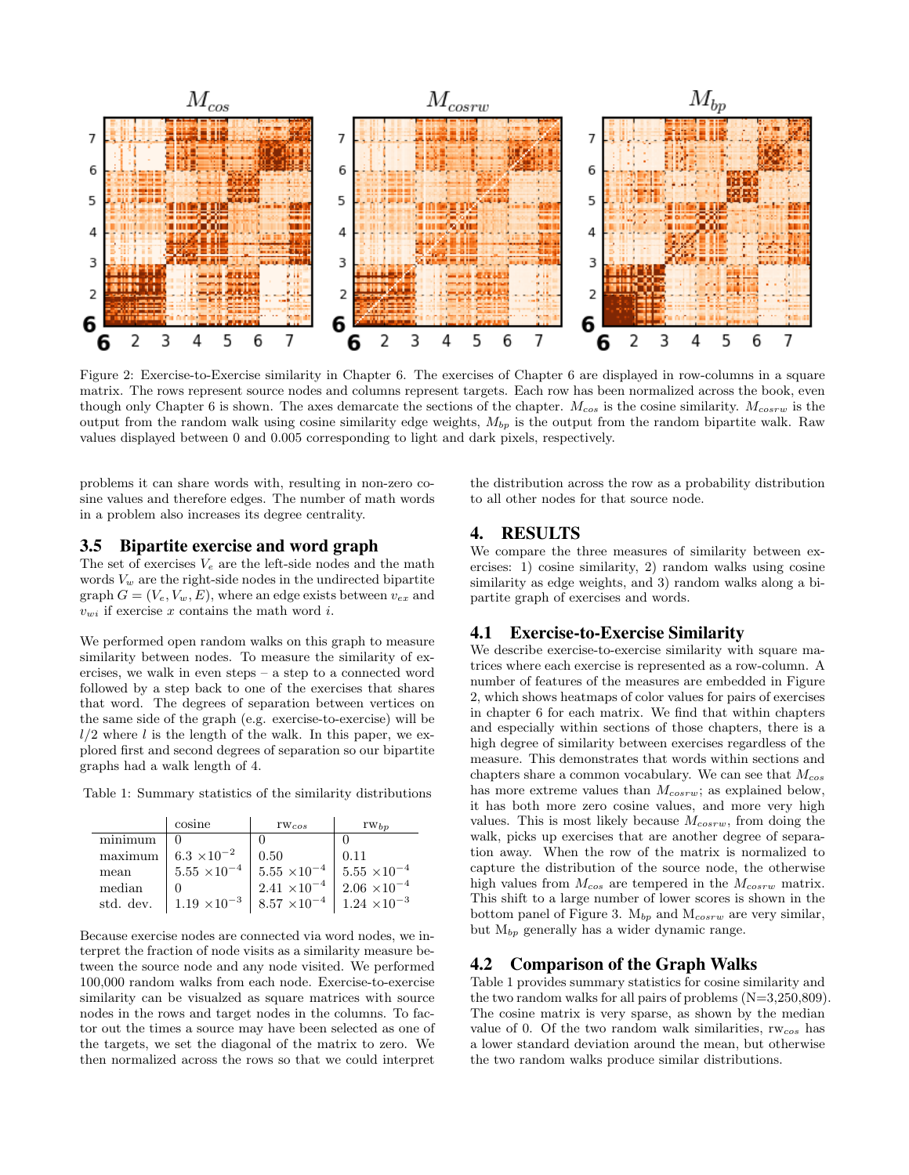

Figure 2: Exercise-to-Exercise similarity in Chapter 6. The exercises of Chapter 6 are displayed in row-columns in a square matrix. The rows represent source nodes and columns represent targets. Each row has been normalized across the book, even though only Chapter 6 is shown. The axes demarcate the sections of the chapter.  $M_{cos}$  is the cosine similarity.  $M_{cos}$  is the output from the random walk using cosine similarity edge weights,  $M_{bp}$  is the output from the random bipartite walk. Raw values displayed between 0 and 0.005 corresponding to light and dark pixels, respectively.

problems it can share words with, resulting in non-zero cosine values and therefore edges. The number of math words in a problem also increases its degree centrality.

#### 3.5 Bipartite exercise and word graph

The set of exercises  $V_e$  are the left-side nodes and the math words  $V_w$  are the right-side nodes in the undirected bipartite graph  $G = (V_e, V_w, E)$ , where an edge exists between  $v_{ex}$  and  $v_{wi}$  if exercise x contains the math word i.

We performed open random walks on this graph to measure similarity between nodes. To measure the similarity of exercises, we walk in even steps – a step to a connected word followed by a step back to one of the exercises that shares that word. The degrees of separation between vertices on the same side of the graph (e.g. exercise-to-exercise) will be  $l/2$  where l is the length of the walk. In this paper, we explored first and second degrees of separation so our bipartite graphs had a walk length of 4.

Table 1: Summary statistics of the similarity distributions

|           | cosine                | $rw_{cos}$            | $rw_{bp}$              |
|-----------|-----------------------|-----------------------|------------------------|
| minimum   |                       |                       |                        |
| maximum   | $6.3 \times 10^{-2}$  | 0.50                  | 0.11                   |
| mean      | $5.55\times10^{-4}$   | $5.55 \times 10^{-4}$ | $5.55\ \times 10^{-4}$ |
| median    |                       | $2.41\times10^{-4}$ . | $2.06 \times 10^{-4}$  |
| std. dev. | $1.19 \times 10^{-3}$ | $8.57 \times 10^{-4}$ | $1.24 \times 10^{-3}$  |

Because exercise nodes are connected via word nodes, we interpret the fraction of node visits as a similarity measure between the source node and any node visited. We performed 100,000 random walks from each node. Exercise-to-exercise similarity can be visualzed as square matrices with source nodes in the rows and target nodes in the columns. To factor out the times a source may have been selected as one of the targets, we set the diagonal of the matrix to zero. We then normalized across the rows so that we could interpret

the distribution across the row as a probability distribution to all other nodes for that source node.

## 4. RESULTS

We compare the three measures of similarity between exercises: 1) cosine similarity, 2) random walks using cosine similarity as edge weights, and 3) random walks along a bipartite graph of exercises and words.

## 4.1 Exercise-to-Exercise Similarity

We describe exercise-to-exercise similarity with square matrices where each exercise is represented as a row-column. A number of features of the measures are embedded in Figure 2, which shows heatmaps of color values for pairs of exercises in chapter 6 for each matrix. We find that within chapters and especially within sections of those chapters, there is a high degree of similarity between exercises regardless of the measure. This demonstrates that words within sections and chapters share a common vocabulary. We can see that  $M_{cos}$ has more extreme values than  $M_{cosrw}$ ; as explained below, it has both more zero cosine values, and more very high values. This is most likely because  $M_{cosrw}$ , from doing the walk, picks up exercises that are another degree of separation away. When the row of the matrix is normalized to capture the distribution of the source node, the otherwise high values from  $M_{cos}$  are tempered in the  $M_{cosrw}$  matrix. This shift to a large number of lower scores is shown in the bottom panel of Figure 3.  $M_{bp}$  and  $M_{cosrw}$  are very similar, but  $M_{bp}$  generally has a wider dynamic range.

## 4.2 Comparison of the Graph Walks

Table 1 provides summary statistics for cosine similarity and the two random walks for all pairs of problems (N=3,250,809). The cosine matrix is very sparse, as shown by the median value of 0. Of the two random walk similarities,  $rw_{cos}$  has a lower standard deviation around the mean, but otherwise the two random walks produce similar distributions.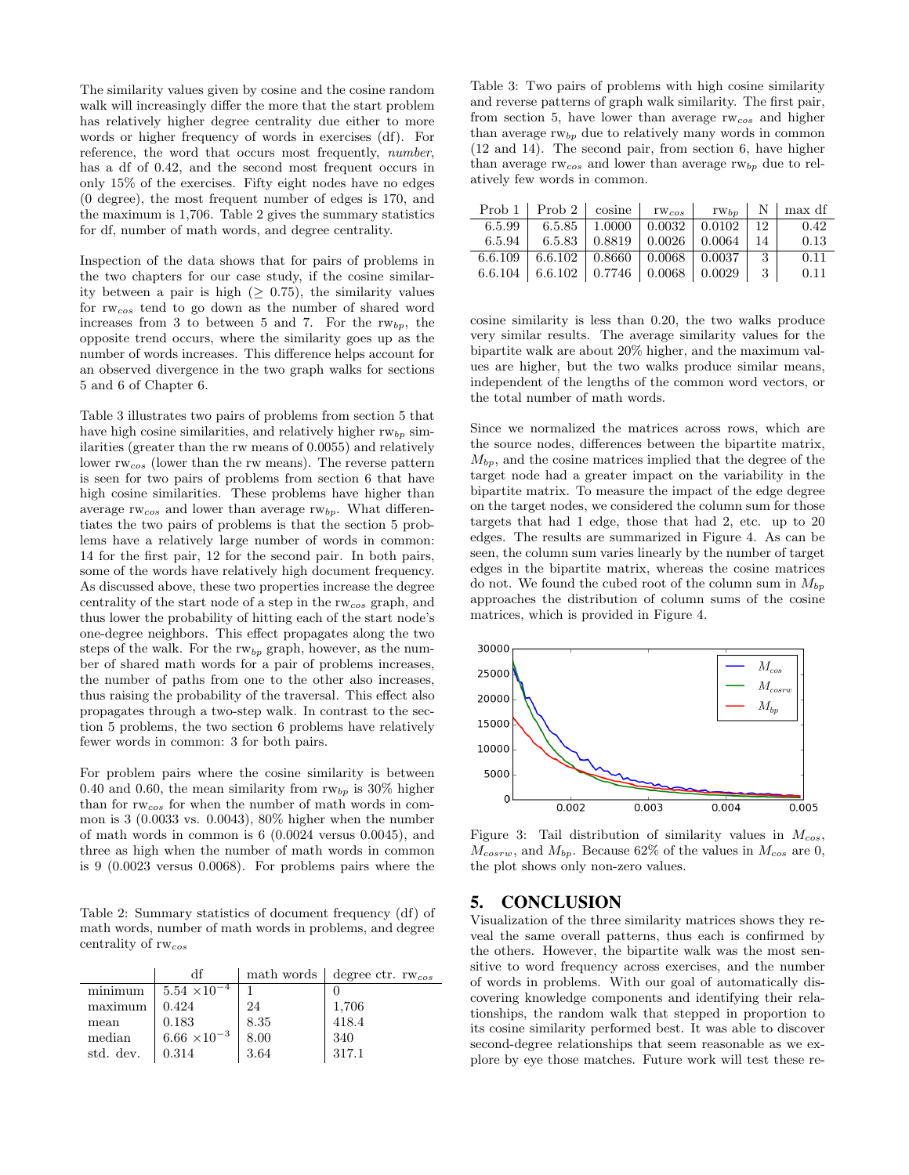The similarity values given by cosine and the cosine random walk will increasingly differ the more that the start problem has relatively higher degree centrality due either to more words or higher frequency of words in exercises (df). For reference, the word that occurs most frequently, number, has a df of 0.42, and the second most frequent occurs in only 15% of the exercises. Fifty eight nodes have no edges (0 degree), the most frequent number of edges is 170, and the maximum is 1,706. Table 2 gives the summary statistics for df, number of math words, and degree centrality.

Inspection of the data shows that for pairs of problems in the two chapters for our case study, if the cosine similarity between a pair is high ( $\geq$  0.75), the similarity values for rwcos tend to go down as the number of shared word increases from 3 to between 5 and 7. For the  $rw_{bp}$ , the opposite trend occurs, where the similarity goes up as the number of words increases. This difference helps account for an observed divergence in the two graph walks for sections 5 and 6 of Chapter 6.

Table 3 illustrates two pairs of problems from section 5 that have high cosine similarities, and relatively higher  $rw_{bp}$  similarities (greater than the rw means of 0.0055) and relatively lower rwcos (lower than the rw means). The reverse pattern is seen for two pairs of problems from section 6 that have high cosine similarities. These problems have higher than average  $rw_{cos}$  and lower than average  $rw_{bp}$ . What differentiates the two pairs of problems is that the section 5 problems have a relatively large number of words in common: 14 for the first pair, 12 for the second pair. In both pairs, some of the words have relatively high document frequency. As discussed above, these two properties increase the degree centrality of the start node of a step in the rwcos graph, and thus lower the probability of hitting each of the start node's one-degree neighbors. This effect propagates along the two steps of the walk. For the  $rw_{bp}$  graph, however, as the number of shared math words for a pair of problems increases, the number of paths from one to the other also increases, thus raising the probability of the traversal. This effect also propagates through a two-step walk. In contrast to the section 5 problems, the two section 6 problems have relatively fewer words in common: 3 for both pairs.

For problem pairs where the cosine similarity is between 0.40 and 0.60, the mean similarity from  $rw_{bp}$  is 30% higher than for  $rw_{cos}$  for when the number of math words in common is 3 (0.0033 vs. 0.0043), 80% higher when the number of math words in common is 6 (0.0024 versus 0.0045), and three as high when the number of math words in common is 9 (0.0023 versus 0.0068). For problems pairs where the

Table 2: Summary statistics of document frequency (df) of math words, number of math words in problems, and degree centrality of rwcos

|           | df                      |      | math words $\vert$ degree ctr. rw <sub>cos</sub> |
|-----------|-------------------------|------|--------------------------------------------------|
| minimum   | $5.54 \times 10^{-4}$   |      |                                                  |
| maximum   | 0.424                   | 24   | 1,706                                            |
| mean      | 0.183                   | 8.35 | 418.4                                            |
| median    | $6.66\ \times\!10^{-3}$ | 8.00 | 340                                              |
| std. dev. | 0.314                   | 3.64 | 317.1                                            |

Table 3: Two pairs of problems with high cosine similarity and reverse patterns of graph walk similarity. The first pair, from section 5, have lower than average  $rw_{cos}$  and higher than average  $rw_{bp}$  due to relatively many words in common (12 and 14). The second pair, from section 6, have higher than average  $rw_{cos}$  and lower than average  $rw_{bp}$  due to relatively few words in common.

| Prob 1   Prob 2   cosine   $rw_{cos}$   $rw_{bp}$   N   max df               |  |  |      |
|------------------------------------------------------------------------------|--|--|------|
| $\boxed{6.5.99 \mid 6.5.85 \mid 1.0000 \mid 0.0032 \mid 0.0102}$   12   0.42 |  |  |      |
| $6.5.94$   $6.5.83$   $0.8819$   $0.0026$   $0.0064$   14                    |  |  | 0.13 |
| $6.6.109$ 6.6.102 0.8660 0.0068 0.0037 3                                     |  |  | 0.11 |
| 6.6.104   6.6.102   0.7746   0.0068   0.0029   3                             |  |  | 0.11 |

cosine similarity is less than 0.20, the two walks produce very similar results. The average similarity values for the bipartite walk are about 20% higher, and the maximum values are higher, but the two walks produce similar means, independent of the lengths of the common word vectors, or the total number of math words.

Since we normalized the matrices across rows, which are the source nodes, differences between the bipartite matrix,  $M_{bp}$ , and the cosine matrices implied that the degree of the target node had a greater impact on the variability in the bipartite matrix. To measure the impact of the edge degree on the target nodes, we considered the column sum for those targets that had 1 edge, those that had 2, etc. up to 20 edges. The results are summarized in Figure 4. As can be seen, the column sum varies linearly by the number of target edges in the bipartite matrix, whereas the cosine matrices do not. We found the cubed root of the column sum in  $M_{bp}$ approaches the distribution of column sums of the cosine matrices, which is provided in Figure 4.



Figure 3: Tail distribution of similarity values in  $M_{cos}$ ,  $M_{cosrw}$ , and  $M_{bp}$ . Because 62% of the values in  $M_{cos}$  are 0, the plot shows only non-zero values.

# 5. CONCLUSION

Visualization of the three similarity matrices shows they reveal the same overall patterns, thus each is confirmed by the others. However, the bipartite walk was the most sensitive to word frequency across exercises, and the number of words in problems. With our goal of automatically discovering knowledge components and identifying their relationships, the random walk that stepped in proportion to its cosine similarity performed best. It was able to discover second-degree relationships that seem reasonable as we explore by eye those matches. Future work will test these re-